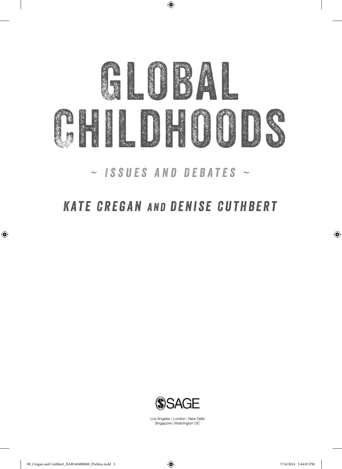

 $\bigoplus$ 

*~ Issues and Debates ~*

# *Kate Cregan and Denise Cuthbert*



Los Angeles | London | New Delhi Singapore | Washington DC

 $\bigoplus$ 

 $\bigoplus$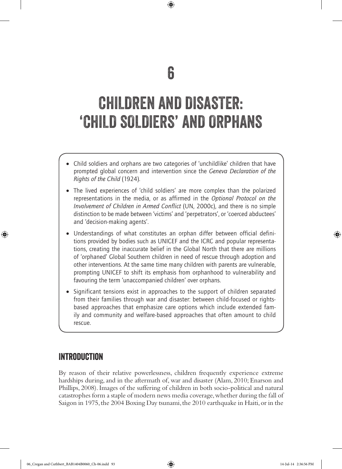## 6

⊕

# CHILDREN AND DISASTER: 'CHILD SOLDIERS' AND ORPHANS

- Child soldiers and orphans are two categories of 'unchildlike' children that have prompted global concern and intervention since the *Geneva Declaration of the Rights of the Child* (1924).
- The lived experiences of 'child soldiers' are more complex than the polarized representations in the media, or as affirmed in the *Optional Protocol on the Involvement of Children in Armed Conflict* (UN, 2000c), and there is no simple distinction to be made between 'victims' and 'perpetrators', or 'coerced abductees' and 'decision-making agents'.
- Understandings of what constitutes an orphan differ between official definitions provided by bodies such as UNICEF and the ICRC and popular representations, creating the inaccurate belief in the Global North that there are millions of 'orphaned' Global Southern children in need of rescue through adoption and other interventions. At the same time many children with parents are vulnerable, prompting UNICEF to shift its emphasis from orphanhood to vulnerability and favouring the term 'unaccompanied children' over orphans.
- Significant tensions exist in approaches to the support of children separated from their families through war and disaster: between child-focused or rightsbased approaches that emphasize care options which include extended family and community and welfare-based approaches that often amount to child rescue.

## Introduction

♠

By reason of their relative powerlessness, children frequently experience extreme hardships during, and in the aftermath of, war and disaster (Alam, 2010; Enarson and Phillips, 2008). Images of the suffering of children in both socio-political and natural catastrophes form a staple of modern news media coverage, whether during the fall of Saigon in 1975, the 2004 Boxing Day tsunami, the 2010 earthquake in Haiti, or in the

06\_Cregan and Cuthbert\_BAB1404B0060\_Ch-06.indd 93 14-Jul-14 2:36:56 PM

♠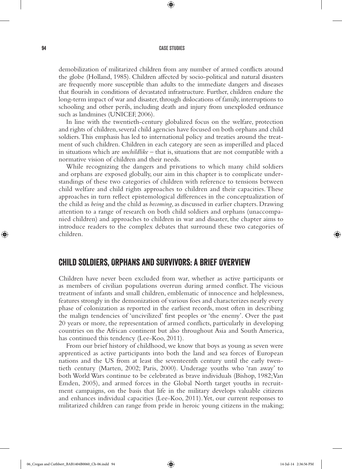⊕

demobilization of militarized children from any number of armed conflicts around the globe (Holland, 1985). Children affected by socio-political and natural disasters are frequently more susceptible than adults to the immediate dangers and diseases that flourish in conditions of devastated infrastructure. Further, children endure the long-term impact of war and disaster, through dislocations of family, interruptions to schooling and other perils, including death and injury from unexploded ordnance such as landmines (UNICEF, 2006).

In line with the twentieth-century globalized focus on the welfare, protection and rights of children, several child agencies have focused on both orphans and child soldiers. This emphasis has led to international policy and treaties around the treatment of such children. Children in each category are seen as imperilled and placed in situations which are *unchildlike* – that is, situations that are not compatible with a normative vision of children and their needs.

While recognizing the dangers and privations to which many child soldiers and orphans are exposed globally, our aim in this chapter is to complicate understandings of these two categories of children with reference to tensions between child welfare and child rights approaches to children and their capacities. These approaches in turn reflect epistemological differences in the conceptualization of the child as *being* and the child as *becoming*, as discussed in earlier chapters. Drawing attention to a range of research on both child soldiers and orphans (unaccompanied children) and approaches to children in war and disaster, the chapter aims to introduce readers to the complex debates that surround these two categories of children.

## Child Soldiers, Orphans and Survivors: A Brief Overview

Children have never been excluded from war, whether as active participants or as members of civilian populations overrun during armed conflict. The vicious treatment of infants and small children, emblematic of innocence and helplessness, features strongly in the demonization of various foes and characterizes nearly every phase of colonization as reported in the earliest records, most often in describing the malign tendencies of 'uncivilized' first peoples or 'the enemy'. Over the past 20 years or more, the representation of armed conflicts, particularly in developing countries on the African continent but also throughout Asia and South America, has continued this tendency (Lee-Koo, 2011).

From our brief history of childhood, we know that boys as young as seven were apprenticed as active participants into both the land and sea forces of European nations and the US from at least the seventeenth century until the early twentieth century (Marten, 2002; Paris, 2000). Underage youths who 'ran away' to both World Wars continue to be celebrated as brave individuals (Bishop, 1982; Van Emden, 2005), and armed forces in the Global North target youths in recruitment campaigns, on the basis that life in the military develops valuable citizens and enhances individual capacities (Lee-Koo, 2011). Yet, our current responses to militarized children can range from pride in heroic young citizens in the making;

⊕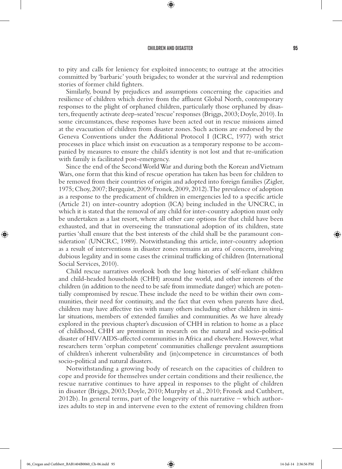⊕

to pity and calls for leniency for exploited innocents; to outrage at the atrocities committed by 'barbaric' youth brigades; to wonder at the survival and redemption stories of former child fighters.

Similarly, bound by prejudices and assumptions concerning the capacities and resilience of children which derive from the affluent Global North, contemporary responses to the plight of orphaned children, particularly those orphaned by disasters, frequently activate deep-seated 'rescue' responses (Briggs, 2003; Doyle, 2010). In some circumstances, these responses have been acted out in rescue missions aimed at the evacuation of children from disaster zones. Such actions are endorsed by the Geneva Conventions under the Additional Protocol I (ICRC, 1977) with strict processes in place which insist on evacuation as a temporary response to be accompanied by measures to ensure the child's identity is not lost and that re-unification with family is facilitated post-emergency.

Since the end of the Second World War and during both the Korean and Vietnam Wars, one form that this kind of rescue operation has taken has been for children to be removed from their countries of origin and adopted into foreign families (Zigler, 1975; Choy, 2007; Bergquist, 2009; Fronek, 2009, 2012). The prevalence of adoption as a response to the predicament of children in emergencies led to a specific article (Article 21) on inter-country adoption (ICA) being included in the UNCRC, in which it is stated that the removal of any child for inter-country adoption must only be undertaken as a last resort, where all other care options for that child have been exhausted, and that in overseeing the transnational adoption of its children, state parties 'shall ensure that the best interests of the child shall be the paramount consideration' (UNCRC, 1989). Notwithstanding this article, inter-country adoption as a result of interventions in disaster zones remains an area of concern, involving dubious legality and in some cases the criminal trafficking of children (International Social Services, 2010).

Child rescue narratives overlook both the long histories of self-reliant children and child-headed households (CHH) around the world, and other interests of the children (in addition to the need to be safe from immediate danger) which are potentially compromised by rescue. These include the need to be within their own communities, their need for continuity, and the fact that even when parents have died, children may have affective ties with many others including other children in similar situations, members of extended families and communities. As we have already explored in the previous chapter's discussion of CHH in relation to home as a place of childhood, CHH are prominent in research on the natural and socio-political disaster of HIV/AIDS-affected communities in Africa and elsewhere. However, what researchers term 'orphan competent' communities challenge prevalent assumptions of children's inherent vulnerability and (in)competence in circumstances of both socio-political and natural disasters.

Notwithstanding a growing body of research on the capacities of children to cope and provide for themselves under certain conditions and their resilience, the rescue narrative continues to have appeal in responses to the plight of children in disaster (Briggs, 2003; Doyle, 2010; Murphy et al., 2010; Fronek and Cuthbert, 2012b). In general terms, part of the longevity of this narrative – which authorizes adults to step in and intervene even to the extent of removing children from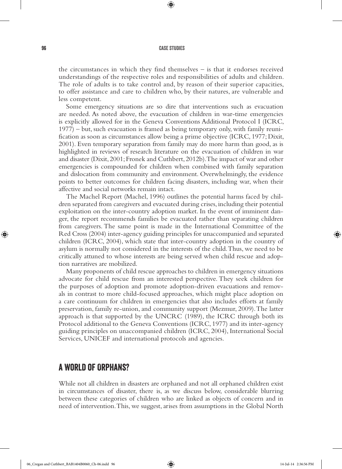⊕

the circumstances in which they find themselves – is that it endorses received understandings of the respective roles and responsibilities of adults and children. The role of adults is to take control and, by reason of their superior capacities, to offer assistance and care to children who, by their natures, are vulnerable and less competent.

Some emergency situations are so dire that interventions such as evacuation are needed. As noted above, the evacuation of children in war-time emergencies is explicitly allowed for in the Geneva Conventions Additional Protocol I (ICRC, 1977) – but, such evacuation is framed as being temporary only, with family reunification as soon as circumstances allow being a prime objective (ICRC, 1977; Dixit, 2001). Even temporary separation from family may do more harm than good, as is highlighted in reviews of research literature on the evacuation of children in war and disaster (Dixit, 2001; Fronek and Cuthbert, 2012b). The impact of war and other emergencies is compounded for children when combined with family separation and dislocation from community and environment. Overwhelmingly, the evidence points to better outcomes for children facing disasters, including war, when their affective and social networks remain intact.

The Machel Report (Machel, 1996) outlines the potential harms faced by children separated from caregivers and evacuated during crises, including their potential exploitation on the inter-country adoption market. In the event of imminent danger, the report recommends families be evacuated rather than separating children from caregivers. The same point is made in the International Committee of the Red Cross (2004) inter-agency guiding principles for unaccompanied and separated children (ICRC, 2004), which state that inter-country adoption in the country of asylum is normally not considered in the interests of the child. Thus, we need to be critically attuned to whose interests are being served when child rescue and adoption narratives are mobilized.

Many proponents of child rescue approaches to children in emergency situations advocate for child rescue from an interested perspective. They seek children for the purposes of adoption and promote adoption-driven evacuations and removals in contrast to more child-focused approaches, which might place adoption on a care continuum for children in emergencies that also includes efforts at family preservation, family re-union, and community support (Mezmur, 2009). The latter approach is that supported by the UNCRC (1989), the ICRC through both its Protocol additional to the Geneva Conventions (ICRC, 1977) and its inter-agency guiding principles on unaccompanied children (ICRC, 2004), International Social Services, UNICEF and international protocols and agencies.

## A World of Orphans?

While not all children in disasters are orphaned and not all orphaned children exist in circumstances of disaster, there is, as we discuss below, considerable blurring between these categories of children who are linked as objects of concern and in need of intervention. This, we suggest, arises from assumptions in the Global North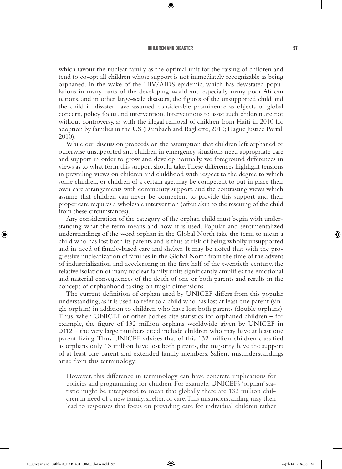⊕

which favour the nuclear family as the optimal unit for the raising of children and tend to co-opt all children whose support is not immediately recognizable as being orphaned. In the wake of the HIV/AIDS epidemic, which has devastated populations in many parts of the developing world and especially many poor African nations, and in other large-scale disasters, the figures of the unsupported child and the child in disaster have assumed considerable prominence as objects of global concern, policy focus and intervention. Interventions to assist such children are not without controversy, as with the illegal removal of children from Haiti in 2010 for adoption by families in the US (Dambach and Baglietto, 2010; Hague Justice Portal, 2010).

While our discussion proceeds on the assumption that children left orphaned or otherwise unsupported and children in emergency situations need appropriate care and support in order to grow and develop normally, we foreground differences in views as to what form this support should take. These differences highlight tensions in prevailing views on children and childhood with respect to the degree to which some children, or children of a certain age, may be competent to put in place their own care arrangements with community support, and the contrasting views which assume that children can never be competent to provide this support and their proper care requires a wholesale intervention (often akin to the rescuing of the child from these circumstances).

Any consideration of the category of the orphan child must begin with understanding what the term means and how it is used. Popular and sentimentalized understandings of the word orphan in the Global North take the term to mean a child who has lost both its parents and is thus at risk of being wholly unsupported and in need of family-based care and shelter. It may be noted that with the progressive nuclearization of families in the Global North from the time of the advent of industrialization and accelerating in the first half of the twentieth century, the relative isolation of many nuclear family units significantly amplifies the emotional and material consequences of the death of one or both parents and results in the concept of orphanhood taking on tragic dimensions.

The current definition of orphan used by UNICEF differs from this popular understanding, as it is used to refer to a child who has lost at least one parent (single orphan) in addition to children who have lost both parents (double orphans). Thus, when UNICEF or other bodies cite statistics for orphaned children – for example, the figure of 132 million orphans worldwide given by UNICEF in 2012 – the very large numbers cited include children who may have at least one parent living. Thus UNICEF advises that of this 132 million children classified as orphans only 13 million have lost both parents, the majority have the support of at least one parent and extended family members. Salient misunderstandings arise from this terminology:

However, this difference in terminology can have concrete implications for policies and programming for children. For example, UNICEF's 'orphan' statistic might be interpreted to mean that globally there are 132 million children in need of a new family, shelter, or care. This misunderstanding may then lead to responses that focus on providing care for individual children rather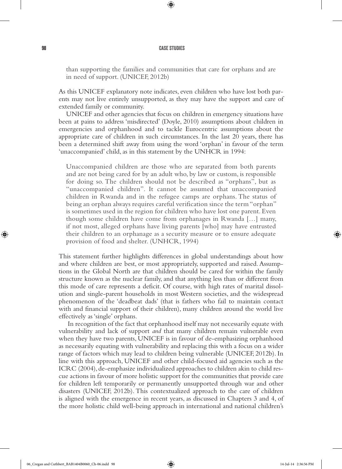⊕

than supporting the families and communities that care for orphans and are in need of support. (UNICEF, 2012b)

As this UNICEF explanatory note indicates, even children who have lost both parents may not live entirely unsupported, as they may have the support and care of extended family or community.

UNICEF and other agencies that focus on children in emergency situations have been at pains to address 'misdirected' (Doyle, 2010) assumptions about children in emergencies and orphanhood and to tackle Eurocentric assumptions about the appropriate care of children in such circumstances. In the last 20 years, there has been a determined shift away from using the word 'orphan' in favour of the term 'unaccompanied' child, as in this statement by the UNHCR in 1994:

Unaccompanied children are those who are separated from both parents and are not being cared for by an adult who, by law or custom, is responsible for doing so. The children should not be described as "orphans", but as "unaccompanied children". It cannot be assumed that unaccompanied children in Rwanda and in the refugee camps are orphans. The status of being an orphan always requires careful verification since the term "orphan" is sometimes used in the region for children who have lost one parent. Even though some children have come from orphanages in Rwanda […] many, if not most, alleged orphans have living parents [who] may have entrusted their children to an orphanage as a security measure or to ensure adequate provision of food and shelter. (UNHCR, 1994)

This statement further highlights differences in global understandings about how and where children are best, or most appropriately, supported and raised. Assumptions in the Global North are that children should be cared for within the family structure known as the nuclear family, and that anything less than or different from this mode of care represents a deficit. Of course, with high rates of marital dissolution and single-parent households in most Western societies, and the widespread phenomenon of the 'deadbeat dads' (that is fathers who fail to maintain contact with and financial support of their children), many children around the world live effectively as 'single' orphans.

 In recognition of the fact that orphanhood itself may not necessarily equate with vulnerability and lack of support *and* that many children remain vulnerable even when they have two parents, UNICEF is in favour of de-emphasizing orphanhood as necessarily equating with vulnerability and replacing this with a focus on a wider range of factors which may lead to children being vulnerable (UNICEF, 2012b). In line with this approach, UNICEF and other child-focused aid agencies such as the ICRC (2004), de-emphasize individualized approaches to children akin to child rescue actions in favour of more holistic support for the communities that provide care for children left temporarily or permanently unsupported through war and other disasters (UNICEF, 2012b). This contextualized approach to the care of children is aligned with the emergence in recent years, as discussed in Chapters 3 and 4, of the more holistic child well-being approach in international and national children's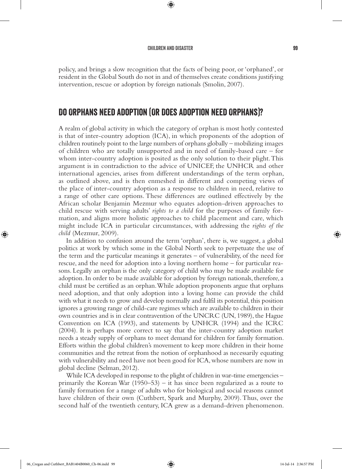#### CHILDREN AND DISASTER SERVICES AND SOLUTION OF SALES AND SALES AND SALES AND SALES AND SALES AND SALES AND SALES AND SALES AND SALES AND SALES AND SALES AND SALES AND SALES AND SALES AND SALES AND SALES AND SALES AND SALES

⊕

⊕

policy, and brings a slow recognition that the facts of being poor, or 'orphaned', or resident in the Global South do not in and of themselves create conditions justifying intervention, rescue or adoption by foreign nationals (Smolin, 2007).

## Do Orphans Need Adoption (Or Does Adoption Need Orphans)?

A realm of global activity in which the category of orphan is most hotly contested is that of inter-country adoption (ICA), in which proponents of the adoption of children routinely point to the large numbers of orphans globally – mobilizing images of children who are totally unsupported and in need of family-based care – for whom inter-country adoption is posited as the only solution to their plight. This argument is in contradiction to the advice of UNICEF, the UNHCR and other international agencies, arises from different understandings of the term orphan, as outlined above, and is then enmeshed in different and competing views of the place of inter-country adoption as a response to children in need, relative to a range of other care options. These differences are outlined effectively by the African scholar Benjamin Mezmur who equates adoption-driven approaches to child rescue with serving adults' *rights to a child* for the purposes of family formation, and aligns more holistic approaches to child placement and care, which might include ICA in particular circumstances, with addressing the *rights of the child* (Mezmur, 2009).

In addition to confusion around the term 'orphan', there is, we suggest, a global politics at work by which some in the Global North seek to perpetuate the use of the term and the particular meanings it generates – of vulnerability, of the need for rescue, and the need for adoption into a loving northern home – for particular reasons. Legally an orphan is the only category of child who may be made available for adoption. In order to be made available for adoption by foreign nationals, therefore, a child must be certified as an orphan. While adoption proponents argue that orphans need adoption, and that only adoption into a loving home can provide the child with what it needs to grow and develop normally and fulfil its potential, this position ignores a growing range of child-care regimes which are available to children in their own countries and is in clear contravention of the UNCRC (UN, 1989), the Hague Convention on ICA (1993), and statements by UNHCR (1994) and the ICRC (2004). It is perhaps more correct to say that the inter-country adoption market needs a steady supply of orphans to meet demand for children for family formation. Efforts within the global children's movement to keep more children in their home communities and the retreat from the notion of orphanhood as necessarily equating with vulnerability and need have not been good for ICA, whose numbers are now in global decline (Selman, 2012).

While ICA developed in response to the plight of children in war-time emergencies – primarily the Korean War  $(1950-53)$  – it has since been regularized as a route to family formation for a range of adults who for biological and social reasons cannot have children of their own (Cuthbert, Spark and Murphy, 2009). Thus, over the second half of the twentieth century, ICA grew as a demand-driven phenomenon.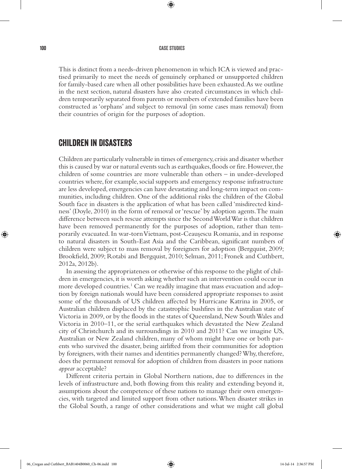⊕

This is distinct from a needs-driven phenomenon in which ICA is viewed and practised primarily to meet the needs of genuinely orphaned or unsupported children for family-based care when all other possibilities have been exhausted. As we outline in the next section, natural disasters have also created circumstances in which children temporarily separated from parents or members of extended families have been constructed as 'orphans' and subject to removal (in some cases mass removal) from their countries of origin for the purposes of adoption.

## Children in Disasters

Children are particularly vulnerable in times of emergency, crisis and disaster whether this is caused by war or natural events such as earthquakes, floods or fire. However, the children of some countries are more vulnerable than others – in under-developed countries where, for example, social supports and emergency response infrastructure are less developed, emergencies can have devastating and long-term impact on communities, including children. One of the additional risks the children of the Global South face in disasters is the application of what has been called 'misdirected kindness' (Doyle, 2010) in the form of removal or 'rescue' by adoption agents. The main difference between such rescue attempts since the Second World War is that children have been removed permanently for the purposes of adoption, rather than temporarily evacuated. In war-torn Vietnam, post-Ceausescu Romania, and in response to natural disasters in South-East Asia and the Caribbean, significant numbers of children were subject to mass removal by foreigners for adoption (Bergquist, 2009; Brookfield, 2009; Rotabi and Bergquist, 2010; Selman, 2011; Fronek and Cuthbert, 2012a, 2012b).

In assessing the appropriateness or otherwise of this response to the plight of children in emergencies, it is worth asking whether such an intervention could occur in more developed countries.<sup>1</sup> Can we readily imagine that mass evacuation and adoption by foreign nationals would have been considered appropriate responses to assist some of the thousands of US children affected by Hurricane Katrina in 2005, or Australian children displaced by the catastrophic bushfires in the Australian state of Victoria in 2009, or by the floods in the states of Queensland, New South Wales and Victoria in 2010–11, or the serial earthquakes which devastated the New Zealand city of Christchurch and its surroundings in 2010 and 2011? Can we imagine US, Australian or New Zealand children, many of whom might have one or both parents who survived the disaster, being airlifted from their communities for adoption by foreigners, with their names and identities permanently changed? Why, therefore, does the permanent removal for adoption of children from disasters in poor nations *appear* acceptable?

Different criteria pertain in Global Northern nations, due to differences in the levels of infrastructure and, both flowing from this reality and extending beyond it, assumptions about the competence of these nations to manage their own emergencies, with targeted and limited support from other nations. When disaster strikes in the Global South, a range of other considerations and what we might call global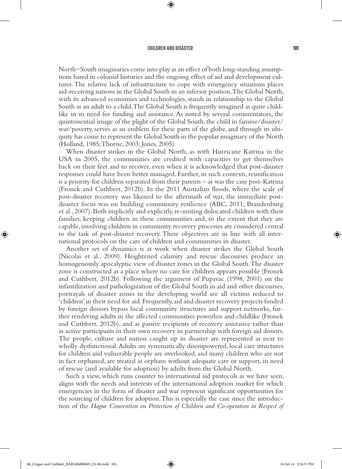⊕

North−South imaginaries come into play as an effect of both long-standing assumptions based in colonial histories and the ongoing effect of aid and development cultures. The relative lack of infrastructure to cope with emergency situations places aid-receiving nations in the Global South in an inferior position. The Global North, with its advanced economies and technologies, stands in relationship to the Global South as an adult to a child. The Global South is frequently imagined as quite childlike in its need for funding and assistance. As noted by several commentators, the quintessential image of the plight of the Global South, the child in famine/disaster/ war/poverty, serves as an emblem for these parts of the globe, and through its ubiquity has come to represent the Global South in the popular imaginary of the North (Holland, 1985; Thorne, 2003; Jones, 2005).

When disaster strikes in the Global North, as with Hurricane Katrina in the USA in 2005, the communities are credited with capacities to get themselves back on their feet and to recover, even when it is acknowledged that post-disaster responses could have been better managed. Further, in such contexts, reunification is a priority for children separated from their parents – as was the case post-Katrina (Fronek and Cuthbert, 2012b). In the 2011 Australian floods, where the scale of post-disaster recovery was likened to the aftermath of war, the immediate postdisaster focus was on building community resilience (ABC, 2011; Brandenburg et al., 2007). Both implicitly and explicitly, re-uniting dislocated children with their families, keeping children in these communities and, to the extent that they are capable, involving children in community recovery processes are considered central to the task of post-disaster recovery. These objectives are in line with all international protocols on the care of children and communities in disaster.

Another set of dynamics is at work when disaster strikes the Global South (Nicolas et al., 2009). Heightened calamity and rescue discourses produce an homogenously apocalyptic view of disaster zones in the Global South. The disaster zone is constructed as a place where no care for children appears possible (Fronek and Cuthbert, 2012b). Following the argument of Pupavac (1998, 2001) on the infantilization and pathologization of the Global South in aid and other discourses, portrayals of disaster zones in the developing world see all victims reduced to 'children' in their need for aid. Frequently, aid and disaster recovery projects funded by foreign donors bypass local community structures and support networks, further rendering adults in the affected communities powerless and childlike (Fronek and Cuthbert, 2012b), and as passive recipients of recovery assistance rather than as active participants in their own recovery in partnership with foreign aid donors. The people, culture and nation caught up in disaster are represented as near to wholly dysfunctional. Adults are systematically disempowered, local care structures for children and vulnerable people are overlooked, and many children who are not in fact orphaned, are treated as orphans without adequate care or support, in need of rescue (and available for adoption) by adults from the Global North.

Such a view, which runs counter to international aid protocols as we have seen, aligns with the needs and interests of the international adoption market for which emergencies in the form of disaster and war represent significant opportunities for the sourcing of children for adoption. This is especially the case since the introduction of the *Hague Convention on Protection of Children and Co-operation in Respect of*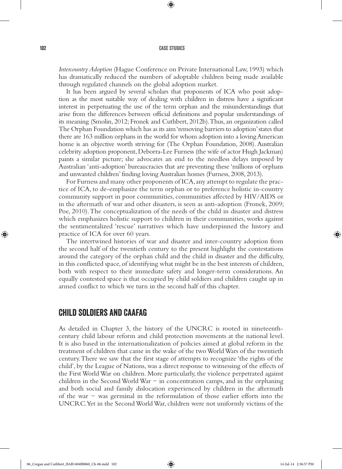⊕

*Intercountry Adoption* (Hague Conference on Private International Law, 1993) which has dramatically reduced the numbers of adoptable children being made available through regulated channels on the global adoption market.

It has been argued by several scholars that proponents of ICA who posit adoption as the most suitable way of dealing with children in distress have a significant interest in perpetuating the use of the term orphan and the misunderstandings that arise from the differences between official definitions and popular understandings of its meaning (Smolin, 2012; Fronek and Cuthbert, 2012b). Thus, an organization called The Orphan Foundation which has as its aim 'removing barriers to adoption' states that there are 163 million orphans in the world for whom adoption into a loving American home is an objective worth striving for (The Orphan Foundation, 2008). Australian celebrity adoption proponent, Deborra-Lee Furness (the wife of actor Hugh Jackman) paints a similar picture; she advocates an end to the needless delays imposed by Australian 'anti-adoption' bureaucracies that are preventing these 'millions of orphans and unwanted children' finding loving Australian homes (Furness, 2008, 2013).

For Furness and many other proponents of ICA, any attempt to regulate the practice of ICA, to de-emphasize the term orphan or to preference holistic in-country community support in poor communities, communities affected by HIV/AIDS or in the aftermath of war and other disasters, is seen as anti-adoption (Fronek, 2009; Poe, 2010). The conceptualization of the needs of the child in disaster and distress which emphasizes holistic support to children in their communities, works against the sentimentalized 'rescue' narratives which have underpinned the history and practice of ICA for over 60 years.

The intertwined histories of war and disaster and inter-country adoption from the second half of the twentieth century to the present highlight the contestations around the category of the orphan child and the child in disaster and the difficulty, in this conflicted space, of identifying what might be in the best interests of children, both with respect to their immediate safety and longer-term considerations. An equally contested space is that occupied by child soldiers and children caught up in armed conflict to which we turn in the second half of this chapter.

## Child Soldiers and CAAFAG

As detailed in Chapter 3, the history of the UNCRC is rooted in nineteenthcentury child labour reform and child protection movements at the national level. It is also based in the internationalization of policies aimed at global reform in the treatment of children that came in the wake of the two World Wars of the twentieth century. There we saw that the first stage of attempts to recognize 'the rights of the child', by the League of Nations, was a direct response to witnessing of the effects of the First World War on children. More particularly, the violence perpetrated against children in the Second World War − in concentration camps, and in the orphaning and both social and family dislocation experienced by children in the aftermath of the war − was germinal in the reformulation of those earlier efforts into the UNCRC. Yet in the Second World War, children were not uniformly victims of the

⊕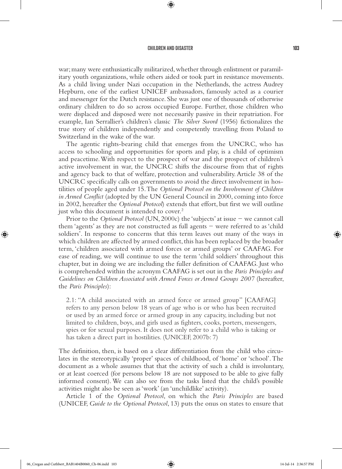⊕

war; many were enthusiastically militarized, whether through enlistment or paramilitary youth organizations, while others aided or took part in resistance movements. As a child living under Nazi occupation in the Netherlands, the actress Audrey Hepburn, one of the earliest UNICEF ambassadors, famously acted as a courier and messenger for the Dutch resistance. She was just one of thousands of otherwise ordinary children to do so across occupied Europe. Further, those children who were displaced and disposed were not necessarily passive in their repatriation. For example, Ian Serrallier's children's classic *The Silver Sword* (1956) fictionalizes the true story of children independently and competently travelling from Poland to Switzerland in the wake of the war.

The agentic rights-bearing child that emerges from the UNCRC, who has access to schooling and opportunities for sports and play, is a child of optimism and peacetime. With respect to the prospect of war and the prospect of children's active involvement in war, the UNCRC shifts the discourse from that of rights and agency back to that of welfare, protection and vulnerability. Article 38 of the UNCRC specifically calls on governments to avoid the direct involvement in hostilities of people aged under 15. The *Optional Protocol on the Involvement of Children in Armed Conflict* (adopted by the UN General Council in 2000, coming into force in 2002, hereafter the *Optional Protocol*) extends that effort, but first we will outline just who this document is intended to cover.<sup>2</sup>

Prior to the *Optional Protocol* (UN, 2000c) the 'subjects' at issue − we cannot call them 'agents' as they are not constructed as full agents − were referred to as 'child soldiers'. In response to concerns that this term leaves out many of the ways in which children are affected by armed conflict, this has been replaced by the broader term, 'children associated with armed forces or armed groups' or CAAFAG. For ease of reading, we will continue to use the term 'child soldiers' throughout this chapter, but in doing we are including the fuller definition of CAAFAG. Just who is comprehended within the acronym CAAFAG is set out in the *Paris Principles and*  Guidelines on Children Associated with Armed Forces or Armed Groups 2007 (hereafter, the *Paris Principles*):

2.1: "A child associated with an armed force or armed group" [CAAFAG] refers to any person below 18 years of age who is or who has been recruited or used by an armed force or armed group in any capacity, including but not limited to children, boys, and girls used as fighters, cooks, porters, messengers, spies or for sexual purposes. It does not only refer to a child who is taking or has taken a direct part in hostilities. (UNICEF, 2007b: 7)

The definition, then, is based on a clear differentiation from the child who circulates in the stereotypically 'proper' spaces of childhood, of 'home' or 'school'. The document as a whole assumes that that the activity of such a child is involuntary, or at least coerced (for persons below 18 are not supposed to be able to give fully informed consent). We can also see from the tasks listed that the child's possible activities might also be seen as 'work' (an 'unchildlike' activity).

Article 1 of the *Optional Protocol*, on which the *Paris Principles* are based (UNICEF, *Guide to the Optional Protocol*, 13) puts the onus on states to ensure that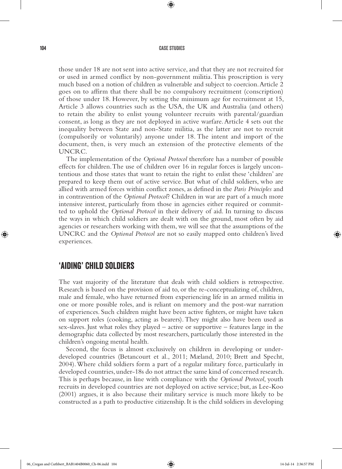⊕

those under 18 are not sent into active service, and that they are not recruited for or used in armed conflict by non-government militia. This proscription is very much based on a notion of children as vulnerable and subject to coercion. Article 2 goes on to affirm that there shall be no compulsory recruitment (conscription) of those under 18. However, by setting the minimum age for recruitment at 15, Article 3 allows countries such as the USA, the UK and Australia (and others) to retain the ability to enlist young volunteer recruits with parental/guardian consent, as long as they are not deployed in active warfare. Article 4 sets out the inequality between State and non-State militia, as the latter are not to recruit (compulsorily or voluntarily) anyone under 18. The intent and import of the document, then, is very much an extension of the protective elements of the UNCRC.

The implementation of the *Optional Protocol* therefore has a number of possible effects for children. The use of children over 16 in regular forces is largely uncontentious and those states that want to retain the right to enlist these 'children' are prepared to keep them out of active service. But what of child soldiers, who are allied with armed forces within conflict zones, as defined in the *Paris Principles* and in contravention of the *Optional Protocol*? Children in war are part of a much more intensive interest, particularly from those in agencies either required or committed to uphold the *Optional Protocol* in their delivery of aid. In turning to discuss the ways in which child soldiers are dealt with on the ground, most often by aid agencies or researchers working with them, we will see that the assumptions of the UNCRC and the *Optional Protocol* are not so easily mapped onto children's lived experiences.

## 'Aiding' Child Soldiers

The vast majority of the literature that deals with child soldiers is retrospective. Research is based on the provision of aid to, or the re-conceptualizing of, children, male and female, who have returned from experiencing life in an armed militia in one or more possible roles, and is reliant on memory and the post-war narration of experiences. Such children might have been active fighters, or might have taken on support roles (cooking, acting as bearers). They might also have been used as sex-slaves. Just what roles they played – active or supportive – features large in the demographic data collected by most researchers, particularly those interested in the children's ongoing mental health.

Second, the focus is almost exclusively on children in developing or underdeveloped countries (Betancourt et al., 2011; Mæland, 2010; Brett and Specht, 2004). Where child soldiers form a part of a regular military force, particularly in developed countries, under-18s do not attract the same kind of concerned research. This is perhaps because, in line with compliance with the *Optional Protocol*, youth recruits in developed countries are not deployed on active service; but, as Lee-Koo (2001) argues, it is also because their military service is much more likely to be constructed as a path to productive citizenship. It is the child soldiers in developing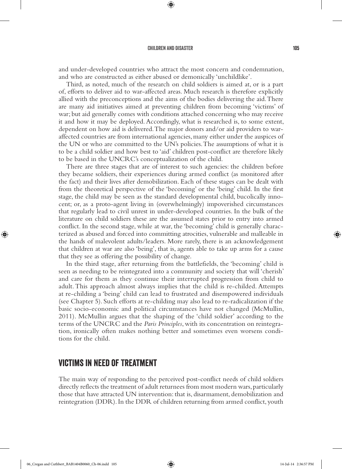⊕

and under-developed countries who attract the most concern and condemnation, and who are constructed as either abused or demonically 'unchildlike'.

Third, as noted, much of the research on child soldiers is aimed at, or is a part of, efforts to deliver aid to war-affected areas. Much research is therefore explicitly allied with the preconceptions and the aims of the bodies delivering the aid. There are many aid initiatives aimed at preventing children from becoming 'victims' of war; but aid generally comes with conditions attached concerning who may receive it and how it may be deployed. Accordingly, what is researched is, to some extent, dependent on how aid is delivered. The major donors and/or aid providers to waraffected countries are from international agencies, many either under the auspices of the UN or who are committed to the UN's policies. The assumptions of what it is to be a child soldier and how best to 'aid' children post-conflict are therefore likely to be based in the UNCRC's conceptualization of the child.

There are three stages that are of interest to such agencies: the children before they became soldiers, their experiences during armed conflict (as monitored after the fact) and their lives after demobilization. Each of these stages can be dealt with from the theoretical perspective of the 'becoming' or the 'being' child. In the first stage, the child may be seen as the standard developmental child, bucolically innocent; or, as a proto-agent living in (overwhelmingly) impoverished circumstances that regularly lead to civil unrest in under-developed countries. In the bulk of the literature on child soldiers these are the assumed states prior to entry into armed conflict. In the second stage, while at war, the 'becoming' child is generally characterized as abused and forced into committing atrocities, vulnerable and malleable in the hands of malevolent adults/leaders. More rarely, there is an acknowledgement that children at war are also 'being', that is, agents able to take up arms for a cause that they see as offering the possibility of change.

In the third stage, after returning from the battlefields, the 'becoming' child is seen as needing to be reintegrated into a community and society that will 'cherish' and care for them as they continue their interrupted progression from child to adult. This approach almost always implies that the child is re-childed. Attempts at re-childing a 'being' child can lead to frustrated and disempowered individuals (see Chapter 5). Such efforts at re-childing may also lead to re-radicalization if the basic socio-economic and political circumstances have not changed (McMullin, 2011). McMullin argues that the shaping of the 'child soldier' according to the terms of the UNCRC and the *Paris Principles*, with its concentration on reintegration, ironically often makes nothing better and sometimes even worsens conditions for the child.

## Victims in Need of Treatment

The main way of responding to the perceived post-conflict needs of child soldiers directly reflects the treatment of adult returnees from most modern wars, particularly those that have attracted UN intervention: that is, disarmament, demobilization and reintegration (DDR). In the DDR of children returning from armed conflict, youth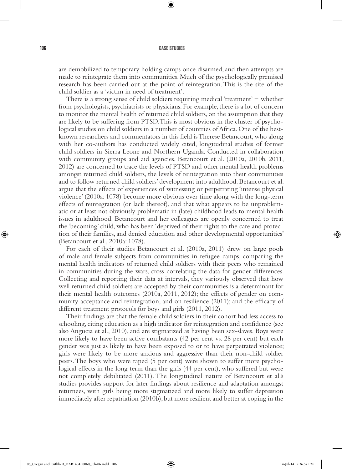⊕

are demobilized to temporary holding camps once disarmed, and then attempts are made to reintegrate them into communities. Much of the psychologically premised research has been carried out at the point of reintegration. This is the site of the child soldier as a 'victim in need of treatment'.

There is a strong sense of child soldiers requiring medical 'treatment' − whether from psychologists, psychiatrists or physicians. For example, there is a lot of concern to monitor the mental health of returned child soldiers, on the assumption that they are likely to be suffering from PTSD. This is most obvious in the cluster of psychological studies on child soldiers in a number of countries of Africa. One of the bestknown researchers and commentators in this field is Therese Betancourt, who along with her co-authors has conducted widely cited, longitudinal studies of former child soldiers in Sierra Leone and Northern Uganda. Conducted in collaboration with community groups and aid agencies, Betancourt et al. (2010a, 2010b, 2011, 2012) are concerned to trace the levels of PTSD and other mental health problems amongst returned child soldiers, the levels of reintegration into their communities and to follow returned child soldiers' development into adulthood. Betancourt et al. argue that the effects of experiences of witnessing or perpetrating 'intense physical violence' (2010a: 1078) become more obvious over time along with the long-term effects of reintegration (or lack thereof), and that what appears to be unproblematic or at least not obviously problematic in (late) childhood leads to mental health issues in adulthood. Betancourt and her colleagues are openly concerned to treat the 'becoming' child, who has been 'deprived of their rights to the care and protection of their families, and denied education and other developmental opportunities' (Betancourt et al., 2010a: 1078).

For each of their studies Betancourt et al. (2010a, 2011) drew on large pools of male and female subjects from communities in refugee camps, comparing the mental health indicators of returned child soldiers with their peers who remained in communities during the wars, cross-correlating the data for gender differences. Collecting and reporting their data at intervals, they variously observed that how well returned child soldiers are accepted by their communities is a determinant for their mental health outcomes (2010a, 2011, 2012); the effects of gender on community acceptance and reintegration, and on resilience (2011); and the efficacy of different treatment protocols for boys and girls (2011, 2012).

Their findings are that the female child soldiers in their cohort had less access to schooling, citing education as a high indicator for reintegration and confidence (see also Angucia et al., 2010), and are stigmatized as having been sex-slaves. Boys were more likely to have been active combatants (42 per cent vs. 28 per cent) but each gender was just as likely to have been exposed to or to have perpetrated violence; girls were likely to be more anxious and aggressive than their non-child soldier peers. The boys who were raped (5 per cent) were shown to suffer more psychological effects in the long term than the girls (44 per cent), who suffered but were not completely debilitated (2011). The longitudinal nature of Betancourt et al.'s studies provides support for later findings about resilience and adaptation amongst returnees, with girls being more stigmatized and more likely to suffer depression immediately after repatriation (2010b), but more resilient and better at coping in the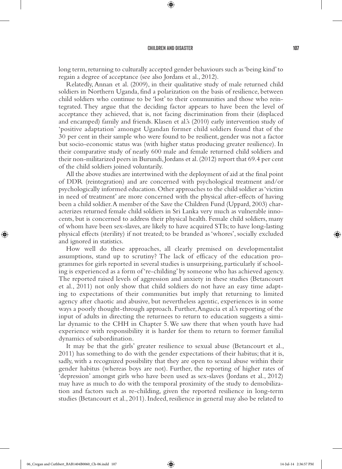⊕

long term, returning to culturally accepted gender behaviours such as 'being kind' to regain a degree of acceptance (see also Jordans et al., 2012).

Relatedly, Annan et al. (2009), in their qualitative study of male returned child soldiers in Northern Uganda, find a polarization on the basis of resilience, between child soldiers who continue to be 'lost' to their communities and those who reintegrated. They argue that the deciding factor appears to have been the level of acceptance they achieved, that is, not facing discrimination from their (displaced and encamped) family and friends. Klasen et al.'s (2010) early intervention study of 'positive adaptation' amongst Ugandan former child soldiers found that of the 30 per cent in their sample who were found to be resilient, gender was not a factor but socio-economic status was (with higher status producing greater resilience). In their comparative study of nearly 600 male and female returned child soldiers and their non-militarized peers in Burundi, Jordans et al. (2012) report that 69.4 per cent of the child soldiers joined voluntarily.

All the above studies are intertwined with the deployment of aid at the final point of DDR (reintegration) and are concerned with psychological treatment and/or psychologically informed education. Other approaches to the child soldier as 'victim in need of treatment' are more concerned with the physical after-effects of having been a child soldier. A member of the Save the Children Fund (Uppard, 2003) characterizes returned female child soldiers in Sri Lanka very much as vulnerable innocents, but is concerned to address their physical health. Female child soldiers, many of whom have been sex-slaves, are likely to have acquired STIs; to have long-lasting physical effects (sterility) if not treated; to be branded as 'whores', socially excluded and ignored in statistics.

How well do these approaches, all clearly premised on developmentalist assumptions, stand up to scrutiny? The lack of efficacy of the education programmes for girls reported in several studies is unsurprising, particularly if schooling is experienced as a form of 're-childing' by someone who has achieved agency. The reported raised levels of aggression and anxiety in these studies (Betancourt et al., 2011) not only show that child soldiers do not have an easy time adapting to expectations of their communities but imply that returning to limited agency after chaotic and abusive, but nevertheless agentic, experiences is in some ways a poorly thought-through approach. Further, Angucia et al.'s reporting of the input of adults in directing the returnees to return to education suggests a similar dynamic to the CHH in Chapter 5. We saw there that when youth have had experience with responsibility it is harder for them to return to former familial dynamics of subordination.

It may be that the girls' greater resilience to sexual abuse (Betancourt et al., 2011) has something to do with the gender expectations of their habitus; that it is, sadly, with a recognized possibility that they are open to sexual abuse within their gender habitus (whereas boys are not). Further, the reporting of higher rates of 'depression' amongst girls who have been used as sex-slaves (Jordans et al., 2012) may have as much to do with the temporal proximity of the study to demobilization and factors such as re-childing, given the reported resilience in long-term studies (Betancourt et al., 2011). Indeed, resilience in general may also be related to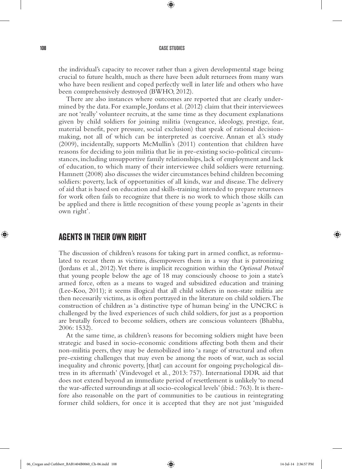⊕

the individual's capacity to recover rather than a given developmental stage being crucial to future health, much as there have been adult returnees from many wars who have been resilient and coped perfectly well in later life and others who have been comprehensively destroyed (BWHO, 2012).

There are also instances where outcomes are reported that are clearly undermined by the data. For example, Jordans et al. (2012) claim that their interviewees are not 'really' volunteer recruits, at the same time as they document explanations given by child soldiers for joining militia (vengeance, ideology, prestige, fear, material benefit, peer pressure, social exclusion) that speak of rational decisionmaking, not all of which can be interpreted as coercive. Annan et al.'s study (2009), incidentally, supports McMullin's (2011) contention that children have reasons for deciding to join militia that lie in pre-existing socio-political circumstances, including unsupportive family relationships, lack of employment and lack of education, to which many of their interviewee child soldiers were returning. Hamnett (2008) also discusses the wider circumstances behind children becoming soldiers: poverty, lack of opportunities of all kinds, war and disease. The delivery of aid that is based on education and skills-training intended to prepare returnees for work often fails to recognize that there is no work to which those skills can be applied and there is little recognition of these young people as 'agents in their own right'.

## Agents in Their Own Right

The discussion of children's reasons for taking part in armed conflict, as reformulated to recast them as victims, disempowers them in a way that is patronizing (Jordans et al., 2012). Yet there is implicit recognition within the *Optional Protocol* that young people below the age of 18 may consciously choose to join a state's armed force, often as a means to waged and subsidized education and training (Lee-Koo, 2011); it seems illogical that all child soldiers in non-state militia are then necessarily victims, as is often portrayed in the literature on child soldiers. The construction of children as 'a distinctive type of human being' in the UNCRC is challenged by the lived experiences of such child soldiers, for just as a proportion are brutally forced to become soldiers, others are conscious volunteers (Bhabha, 2006: 1532).

At the same time, as children's reasons for becoming soldiers might have been strategic and based in socio-economic conditions affecting both them and their non-militia peers, they may be demobilized into 'a range of structural and often pre-existing challenges that may even be among the roots of war, such as social inequality and chronic poverty, [that] can account for ongoing psychological distress in its aftermath' (Vindevogel et al., 2013: 757). International DDR aid that does not extend beyond an immediate period of resettlement is unlikely 'to mend the war-affected surroundings at all socio-ecological levels' (ibid.: 763). It is therefore also reasonable on the part of communities to be cautious in reintegrating former child soldiers, for once it is accepted that they are not just 'misguided

⊕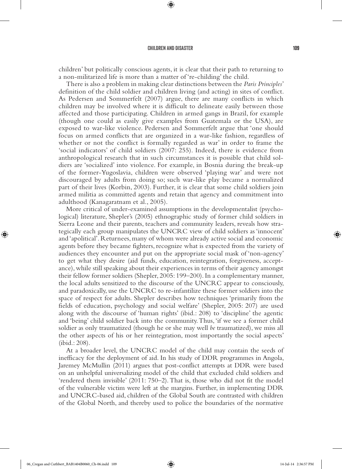⊕

children' but politically conscious agents, it is clear that their path to returning to a non-militarized life is more than a matter of 're-childing' the child.

There is also a problem in making clear distinctions between the *Paris Principles*' definition of the child soldier and children living (and acting) in sites of conflict. As Pedersen and Sommerfelt (2007) argue, there are many conflicts in which children may be involved where it is difficult to delineate easily between those affected and those participating. Children in armed gangs in Brazil, for example (though one could as easily give examples from Guatemala or the USA), are exposed to war-like violence. Pedersen and Sommerfelt argue that 'one should focus on armed conflicts that are organized in a war-like fashion, regardless of whether or not the conflict is formally regarded as war' in order to frame the 'social indicators' of child soldiers (2007: 255). Indeed, there is evidence from anthropological research that in such circumstances it is possible that child soldiers are 'socialized' into violence. For example, in Bosnia during the break-up of the former-Yugoslavia, children were observed 'playing war' and were not discouraged by adults from doing so; such war-like play became a normalized part of their lives (Korbin, 2003). Further, it is clear that some child soldiers join armed militia as committed agents and retain that agency and commitment into adulthood (Kanagaratnam et al., 2005).

More critical of under-examined assumptions in the developmentalist (psychological) literature, Shepler's (2005) ethnographic study of former child soldiers in Sierra Leone and their parents, teachers and community leaders, reveals how strategically each group manipulates the UNCRC view of child soldiers as 'innocent' and 'apolitical'. Returnees, many of whom were already active social and economic agents before they became fighters, recognize what is expected from the variety of audiences they encounter and put on the appropriate social mask of 'non-agency' to get what they desire (aid funds, education, reintegration, forgiveness, acceptance), while still speaking about their experiences in terms of their agency amongst their fellow former soldiers (Shepler, 2005: 199–200). In a complementary manner, the local adults sensitized to the discourse of the UNCRC appear to consciously, and paradoxically, use the UNCRC to re-infantilize these former soldiers into the space of respect for adults. Shepler describes how techniques 'primarily from the fields of education, psychology and social welfare' (Shepler, 2005: 207) are used along with the discourse of 'human rights' (ibid.: 208) to 'discipline' the agentic and 'being' child soldier back into the community. Thus, 'if we see a former child soldier as only traumatized (though he or she may well *be* traumatized), we miss all the other aspects of his or her reintegration, most importantly the social aspects' (ibid.: 208).

At a broader level, the UNCRC model of the child may contain the seeds of inefficacy for the deployment of aid. In his study of DDR programmes in Angola, Jaremey McMullin (2011) argues that post-conflict attempts at DDR were based on an unhelpful universalizing model of the child that excluded child soldiers and 'rendered them invisible' (2011: 750–2). That is, those who did not fit the model of the vulnerable victim were left at the margins. Further, in implementing DDR and UNCRC-based aid, children of the Global South are contrasted with children of the Global North, and thereby used to police the boundaries of the normative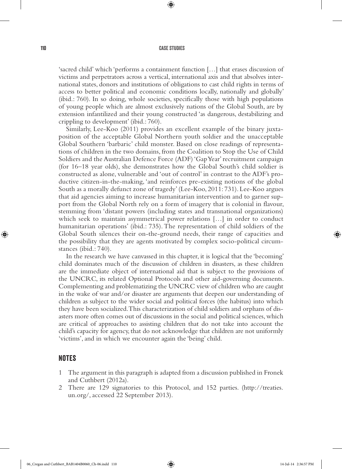⊕

'sacred child' which 'performs a containment function […] that erases discussion of victims and perpetrators across a vertical, international axis and that absolves international states, donors and institutions of obligations to cast child rights in terms of access to better political and economic conditions locally, nationally and globally' (ibid.: 760). In so doing, whole societies, specifically those with high populations of young people which are almost exclusively nations of the Global South, are by extension infantilized and their young constructed 'as dangerous, destabilizing and crippling to development' (ibid.: 760).

Similarly, Lee-Koo (2011) provides an excellent example of the binary juxtaposition of the acceptable Global Northern youth soldier and the unacceptable Global Southern 'barbaric' child monster. Based on close readings of representations of children in the two domains, from the Coalition to Stop the Use of Child Soldiers and the Australian Defence Force (ADF) 'Gap Year' recruitment campaign (for 16–18 year olds), she demonstrates how the Global South's child soldier is constructed as alone, vulnerable and 'out of control' in contrast to the ADF's productive citizen-in-the-making, 'and reinforces pre-existing notions of the global South as a morally defunct zone of tragedy' (Lee-Koo, 2011: 731). Lee-Koo argues that aid agencies aiming to increase humanitarian intervention and to garner support from the Global North rely on a form of imagery that is colonial in flavour, stemming from 'distant powers (including states and transnational organizations) which seek to maintain asymmetrical power relations […] in order to conduct humanitarian operations' (ibid.: 735). The representation of child soldiers of the Global South silences their on-the-ground needs, their range of capacities and the possibility that they are agents motivated by complex socio-political circumstances (ibid.: 740).

In the research we have canvassed in this chapter, it is logical that the 'becoming' child dominates much of the discussion of children in disasters, as these children are the immediate object of international aid that is subject to the provisions of the UNCRC, its related Optional Protocols and other aid-governing documents. Complementing and problematizing the UNCRC view of children who are caught in the wake of war and/or disaster are arguments that deepen our understanding of children as subject to the wider social and political forces (the habitus) into which they have been socialized. This characterization of child soldiers and orphans of disasters more often comes out of discussions in the social and political sciences, which are critical of approaches to assisting children that do not take into account the child's capacity for agency, that do not acknowledge that children are not uniformly 'victims', and in which we encounter again the 'being' child.

#### **NOTES**

- 1 The argument in this paragraph is adapted from a discussion published in Fronek and Cuthbert (2012a).
- 2 There are 129 signatories to this Protocol, and 152 parties. (http://treaties. un.org/, accessed 22 September 2013).

⊕

 $\Leftrightarrow$